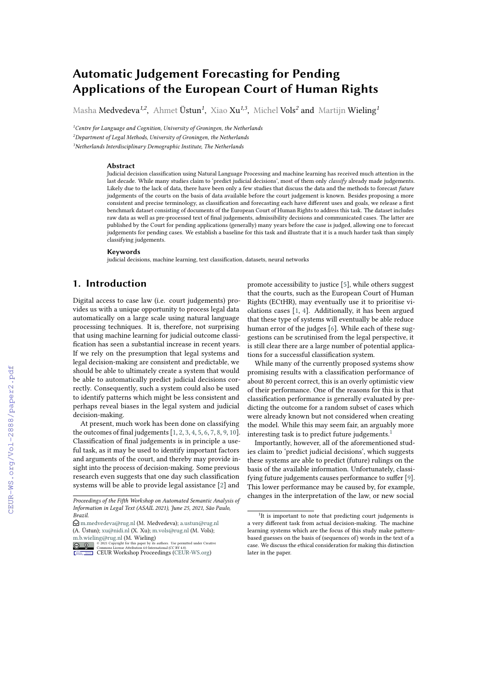# **Automatic Judgement Forecasting for Pending Applications of the European Court of Human Rights**

Masha Medvedeva*1,2* , Ahmet Üstun*<sup>1</sup>* , Xiao Xu*1,3* , Michel Vols*<sup>2</sup>* and Martijn Wieling*<sup>1</sup>*

*<sup>1</sup>Centre for Language and Cognition, University of Groningen, the Netherlands <sup>2</sup>Department of Legal Methods, University of Groningen, the Netherlands <sup>3</sup>Netherlands Interdisciplinary Demographic Institute, The Netherlands*

#### **Abstract**

Judicial decision classification using Natural Language Processing and machine learning has received much attention in the last decade. While many studies claim to 'predict judicial decisions', most of them only *classify* already made judgements. Likely due to the lack of data, there have been only a few studies that discuss the data and the methods to forecast *future* judgements of the courts on the basis of data available before the court judgement is known. Besides proposing a more consistent and precise terminology, as classification and forecasting each have different uses and goals, we release a first benchmark dataset consisting of documents of the European Court of Human Rights to address this task. The dataset includes raw data as well as pre-processed text of final judgements, admissibility decisions and communicated cases. The latter are published by the Court for pending applications (generally) many years before the case is judged, allowing one to forecast judgements for pending cases. We establish a baseline for this task and illustrate that it is a much harder task than simply classifying judgements.

#### **Keywords**

judicial decisions, machine learning, text classification, datasets, neural networks

# **1. Introduction**

Digital access to case law (i.e. court judgements) provides us with a unique opportunity to process legal data automatically on a large scale using natural language processing techniques. It is, therefore, not surprising that using machine learning for judicial outcome classification has seen a substantial increase in recent years. If we rely on the presumption that legal systems and legal decision-making are consistent and predictable, we should be able to ultimately create a system that would be able to automatically predict judicial decisions correctly. Consequently, such a system could also be used to identify patterns which might be less consistent and perhaps reveal biases in the legal system and judicial decision-making.

At present, much work has been done on classifying the outcomes of final judgements [\[1,](#page--1-0) [2,](#page--1-1) [3,](#page--1-2) [4,](#page--1-3) [5,](#page--1-4) [6,](#page--1-5) [7,](#page--1-6) [8,](#page--1-7) [9,](#page--1-8) [10\]](#page--1-9). Classification of final judgements is in principle a useful task, as it may be used to identify important factors and arguments of the court, and thereby may provide insight into the process of decision-making. Some previous research even suggests that one day such classification systems will be able to provide legal assistance [\[2\]](#page--1-1) and promote accessibility to justice [\[5\]](#page--1-4), while others suggest that the courts, such as the European Court of Human Rights (ECtHR), may eventually use it to prioritise violations cases [\[1,](#page--1-0) [4\]](#page--1-3). Additionally, it has been argued that these type of systems will eventually be able reduce human error of the judges [\[6\]](#page--1-5). While each of these suggestions can be scrutinised from the legal perspective, it is still clear there are a large number of potential applications for a successful classification system.

While many of the currently proposed systems show promising results with a classification performance of about 80 percent correct, this is an overly optimistic view of their performance. One of the reasons for this is that classification performance is generally evaluated by predicting the outcome for a random subset of cases which were already known but not considered when creating the model. While this may seem fair, an arguably more interesting task is to predict future judgements.<sup>[1](#page-0-0)</sup>

Importantly, however, all of the aforementioned studies claim to 'predict judicial decisions', which suggests these systems are able to predict (future) rulings on the basis of the available information. Unfortunately, classifying future judgements causes performance to suffer [\[9\]](#page--1-8). This lower performance may be caused by, for example, changes in the interpretation of the law, or new social

*Proceedings of the Fifth Workshop on Automated Semantic Analysis of Information in Legal Text (ASAIL 2021), June 25, 2021, São Paulo, Brazil.*

 $\bigcirc$ [m.medvedeva@rug.nl](mailto:m.medvedeva@rug.nl) (M. Medvedeva); [a.ustun@rug.nl](mailto:a.ustun@rug.nl) (A. Üstun); [xu@nidi.nl](mailto:xu@nidi.nl) (X. Xu); [m.vols@rug.nl](mailto:m.vols@rug.nl) (M. Vols); [m.b.wieling@rug.nl](mailto:m.b.wieling@rug.nl) (M. Wieling)<br>  $\underset{\longleftarrow}{\bigcirc}$  20  $\underset{\longleftarrow}{\underbrace{\otimes}}$  20  $\underset{\longleftarrow}{\underbrace{\otimes}}$   $\underset{\longleftarrow}{\underbrace{\otimes}}$   $\underset{\longleftarrow}{\underbrace{\otimes}}$   $\underset{\longleftarrow}{\underbrace{\otimes}}$   $\underset{\longleftarrow}{\underbrace{\otimes}}$   $\underset{\longleftarrow}{\underbrace{\otimes}}$   $\underset{\longleftarrow}{\underbrace{\otimes}}$   $\underset{\longleftarrow}{\underbrace{\otimes}}$   $\underset{\$ 

<span id="page-0-0"></span><sup>&</sup>lt;sup>1</sup>It is important to note that predicting court judgements is a very different task from actual decision-making. The machine learning systems which are the focus of this study make patternbased guesses on the basis of (sequences of) words in the text of a case. We discuss the ethical consideration for making this distinction later in the paper.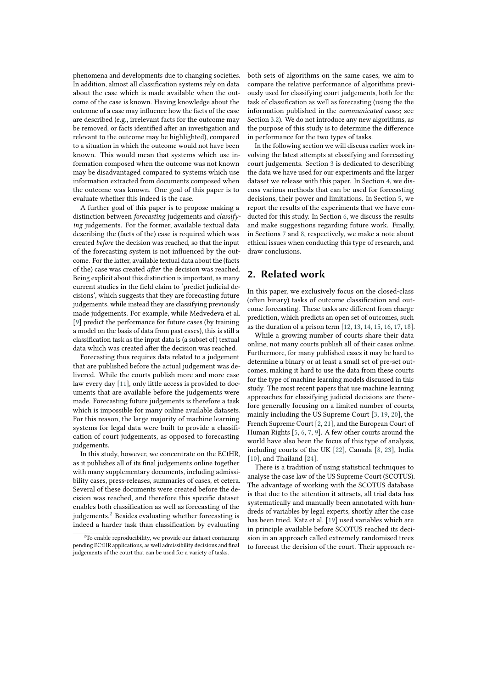phenomena and developments due to changing societies. In addition, almost all classification systems rely on data about the case which is made available when the outcome of the case is known. Having knowledge about the outcome of a case may influence how the facts of the case are described (e.g., irrelevant facts for the outcome may be removed, or facts identified after an investigation and relevant to the outcome may be highlighted), compared to a situation in which the outcome would not have been known. This would mean that systems which use information composed when the outcome was not known may be disadvantaged compared to systems which use information extracted from documents composed when the outcome was known. One goal of this paper is to evaluate whether this indeed is the case.

A further goal of this paper is to propose making a distinction between *forecasting* judgements and *classifying* judgements. For the former, available textual data describing the (facts of the) case is required which was created *before* the decision was reached, so that the input of the forecasting system is not influenced by the outcome. For the latter, available textual data about the (facts of the) case was created *after* the decision was reached. Being explicit about this distinction is important, as many current studies in the field claim to 'predict judicial decisions', which suggests that they are forecasting future judgements, while instead they are classifying previously made judgements. For example, while Medvedeva et al. [\[9\]](#page-9-0) predict the performance for future cases (by training a model on the basis of data from past cases), this is still a classification task as the input data is (a subset of) textual data which was created after the decision was reached.

Forecasting thus requires data related to a judgement that are published before the actual judgement was delivered. While the courts publish more and more case law every day [\[11\]](#page-9-1), only little access is provided to documents that are available before the judgements were made. Forecasting future judgements is therefore a task which is impossible for many online available datasets. For this reason, the large majority of machine learning systems for legal data were built to provide a classification of court judgements, as opposed to forecasting judgements.

In this study, however, we concentrate on the ECtHR, as it publishes all of its final judgements online together with many supplementary documents, including admissibility cases, press-releases, summaries of cases, et cetera. Several of these documents were created before the decision was reached, and therefore this specific dataset enables both classification as well as forecasting of the judgements.<sup>[2](#page-1-0)</sup> Besides evaluating whether forecasting is indeed a harder task than classification by evaluating

both sets of algorithms on the same cases, we aim to compare the relative performance of algorithms previously used for classifying court judgements, both for the task of classification as well as forecasting (using the the information published in the *communicated cases*; see Section [3.2\)](#page-2-0). We do not introduce any new algorithms, as the purpose of this study is to determine the difference in performance for the two types of tasks.

In the following section we will discuss earlier work involving the latest attempts at classifying and forecasting court judgements. Section [3](#page-2-1) is dedicated to describing the data we have used for our experiments and the larger dataset we release with this paper. In Section [4,](#page-4-0) we discuss various methods that can be used for forecasting decisions, their power and limitations. In Section [5,](#page-5-0) we report the results of the experiments that we have conducted for this study. In Section [6,](#page-7-0) we discuss the results and make suggestions regarding future work. Finally, in Sections [7](#page-8-0) and [8,](#page-9-2) respectively, we make a note about ethical issues when conducting this type of research, and draw conclusions.

# **2. Related work**

In this paper, we exclusively focus on the closed-class (often binary) tasks of outcome classification and outcome forecasting. These tasks are different from charge prediction, which predicts an open set of outcomes, such as the duration of a prison term [\[12,](#page-9-3) [13,](#page-9-4) [14,](#page-9-5) [15,](#page-9-6) [16,](#page-10-0) [17,](#page-10-1) [18\]](#page-10-2).

While a growing number of courts share their data online, not many courts publish all of their cases online. Furthermore, for many published cases it may be hard to determine a binary or at least a small set of pre-set outcomes, making it hard to use the data from these courts for the type of machine learning models discussed in this study. The most recent papers that use machine learning approaches for classifying judicial decisions are therefore generally focusing on a limited number of courts, mainly including the US Supreme Court [\[3,](#page-9-7) [19,](#page-10-3) [20\]](#page-10-4), the French Supreme Court [\[2,](#page-9-8) [21\]](#page-10-5), and the European Court of Human Rights [\[5,](#page-9-9) [6,](#page-9-10) [7,](#page-9-11) [9\]](#page-9-0). A few other courts around the world have also been the focus of this type of analysis, including courts of the UK [\[22\]](#page-10-6), Canada [\[8,](#page-9-12) [23\]](#page-10-7), India [\[10\]](#page-9-13), and Thailand [\[24\]](#page-10-8).

There is a tradition of using statistical techniques to analyse the case law of the US Supreme Court (SCOTUS). The advantage of working with the SCOTUS database is that due to the attention it attracts, all trial data has systematically and manually been annotated with hundreds of variables by legal experts, shortly after the case has been tried. Katz et al. [\[19\]](#page-10-3) used variables which are in principle available before SCOTUS reached its decision in an approach called extremely randomised trees to forecast the decision of the court. Their approach re-

<span id="page-1-0"></span><sup>&</sup>lt;sup>2</sup>To enable reproducibility, we provide our dataset containing pending ECtHR applications, as well admissibility decisions and final judgements of the court that can be used for a variety of tasks.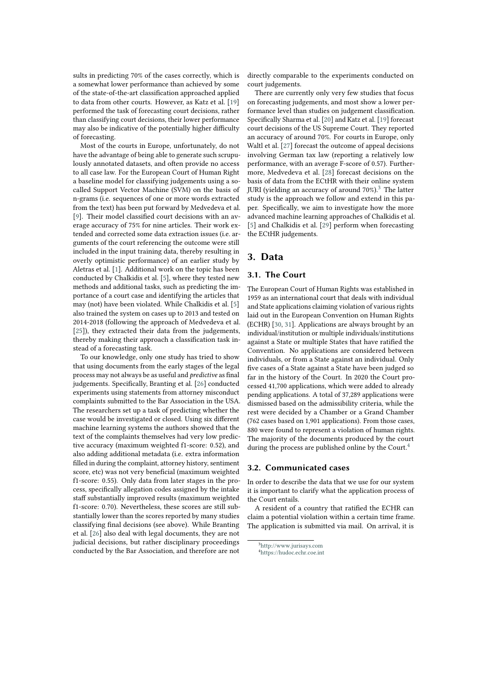sults in predicting 70% of the cases correctly, which is a somewhat lower performance than achieved by some of the state-of-the-art classification approached applied to data from other courts. However, as Katz et al. [\[19\]](#page-10-3) performed the task of forecasting court decisions, rather than classifying court decisions, their lower performance may also be indicative of the potentially higher difficulty of forecasting.

Most of the courts in Europe, unfortunately, do not have the advantage of being able to generate such scrupulously annotated datasets, and often provide no access to all case law. For the European Court of Human Right a baseline model for classifying judgements using a socalled Support Vector Machine (SVM) on the basis of n-grams (i.e. sequences of one or more words extracted from the text) has been put forward by Medvedeva et al. [\[9\]](#page-9-0). Their model classified court decisions with an average accuracy of 75% for nine articles. Their work extended and corrected some data extraction issues (i.e. arguments of the court referencing the outcome were still included in the input training data, thereby resulting in overly optimistic performance) of an earlier study by Aletras et al. [\[1\]](#page-9-14). Additional work on the topic has been conducted by Chalkidis et al. [\[5\]](#page-9-9), where they tested new methods and additional tasks, such as predicting the importance of a court case and identifying the articles that may (not) have been violated. While Chalkidis et al. [\[5\]](#page-9-9) also trained the system on cases up to 2013 and tested on 2014-2018 (following the approach of Medvedeva et al. [\[25\]](#page-10-9)), they extracted their data from the judgements, thereby making their approach a classification task instead of a forecasting task.

To our knowledge, only one study has tried to show that using documents from the early stages of the legal process may not always be as useful and *predictive* as final judgements. Specifically, Branting et al. [\[26\]](#page-10-10) conducted experiments using statements from attorney misconduct complaints submitted to the Bar Association in the USA. The researchers set up a task of predicting whether the case would be investigated or closed. Using six different machine learning systems the authors showed that the text of the complaints themselves had very low predictive accuracy (maximum weighted f1-score: 0.52), and also adding additional metadata (i.e. extra information filled in during the complaint, attorney history, sentiment score, etc) was not very beneficial (maximum weighted f1-score: 0.55). Only data from later stages in the process, specifically allegation codes assigned by the intake staff substantially improved results (maximum weighted f1-score: 0.70). Nevertheless, these scores are still substantially lower than the scores reported by many studies classifying final decisions (see above). While Branting et al. [\[26\]](#page-10-10) also deal with legal documents, they are not judicial decisions, but rather disciplinary proceedings conducted by the Bar Association, and therefore are not

directly comparable to the experiments conducted on court judgements.

There are currently only very few studies that focus on forecasting judgements, and most show a lower performance level than studies on judgement classification. Specifically Sharma et al. [\[20\]](#page-10-4) and Katz et al. [\[19\]](#page-10-3) forecast court decisions of the US Supreme Court. They reported an accuracy of around 70%. For courts in Europe, only Waltl et al. [\[27\]](#page-10-11) forecast the outcome of appeal decisions involving German tax law (reporting a relatively low performance, with an average F-score of 0.57). Furthermore, Medvedeva et al. [\[28\]](#page-10-12) forecast decisions on the basis of data from the ECtHR with their online system JURI (yielding an accuracy of around  $70\%$ ).<sup>[3](#page-2-2)</sup> The latter study is the approach we follow and extend in this paper. Specifically, we aim to investigate how the more advanced machine learning approaches of Chalkidis et al. [\[5\]](#page-9-9) and Chalkidis et al. [\[29\]](#page-10-13) perform when forecasting the ECtHR judgements.

## <span id="page-2-1"></span>**3. Data**

### **3.1. The Court**

The European Court of Human Rights was established in 1959 as an international court that deals with individual and State applications claiming violation of various rights laid out in the European Convention on Human Rights (ECHR) [\[30,](#page-10-14) [31\]](#page-10-15). Applications are always brought by an individual/institution or multiple individuals/institutions against a State or multiple States that have ratified the Convention. No applications are considered between individuals, or from a State against an individual. Only five cases of a State against a State have been judged so far in the history of the Court. In 2020 the Court processed 41,700 applications, which were added to already pending applications. A total of 37,289 applications were dismissed based on the admissibility criteria, while the rest were decided by a Chamber or a Grand Chamber (762 cases based on 1,901 applications). From those cases, 880 were found to represent a violation of human rights. The majority of the documents produced by the court during the process are published online by the Court.<sup>[4](#page-2-3)</sup>

### <span id="page-2-0"></span>**3.2. Communicated cases**

In order to describe the data that we use for our system it is important to clarify what the application process of the Court entails.

A resident of a country that ratified the ECHR can claim a potential violation within a certain time frame. The application is submitted via mail. On arrival, it is

<span id="page-2-2"></span><sup>3</sup><http://www.jurisays.com>

<span id="page-2-3"></span><sup>4</sup><https://hudoc.echr.coe.int>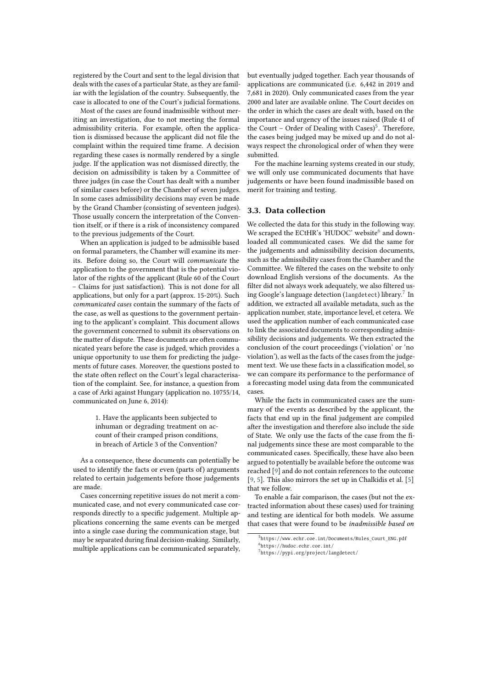registered by the Court and sent to the legal division that deals with the cases of a particular State, as they are familiar with the legislation of the country. Subsequently, the case is allocated to one of the Court's judicial formations.

Most of the cases are found inadmissible without meriting an investigation, due to not meeting the formal admissibility criteria. For example, often the application is dismissed because the applicant did not file the complaint within the required time frame. A decision regarding these cases is normally rendered by a single judge. If the application was not dismissed directly, the decision on admissibility is taken by a Committee of three judges (in case the Court has dealt with a number of similar cases before) or the Chamber of seven judges. In some cases admissibility decisions may even be made by the Grand Chamber (consisting of seventeen judges). Those usually concern the interpretation of the Convention itself, or if there is a risk of inconsistency compared to the previous judgements of the Court.

When an application is judged to be admissible based on formal parameters, the Chamber will examine its merits. Before doing so, the Court will *communicate* the application to the government that is the potential violator of the rights of the applicant (Rule 60 of the Court – Claims for just satisfaction). This is not done for all applications, but only for a part (approx. 15-20%). Such *communicated cases* contain the summary of the facts of the case, as well as questions to the government pertaining to the applicant's complaint. This document allows the government concerned to submit its observations on the matter of dispute. These documents are often communicated years before the case is judged, which provides a unique opportunity to use them for predicting the judgements of future cases. Moreover, the questions posted to the state often reflect on the Court's legal characterisation of the complaint. See, for instance, a question from a case of Arki against Hungary (application no. 10755/14, communicated on June 6, 2014):

> 1. Have the applicants been subjected to inhuman or degrading treatment on account of their cramped prison conditions, in breach of Article 3 of the Convention?

As a consequence, these documents can potentially be used to identify the facts or even (parts of) arguments related to certain judgements before those judgements are made.

Cases concerning repetitive issues do not merit a communicated case, and not every communicated case corresponds directly to a specific judgement. Multiple applications concerning the same events can be merged into a single case during the communication stage, but may be separated during final decision-making. Similarly, multiple applications can be communicated separately, but eventually judged together. Each year thousands of applications are communicated (i.e. 6,442 in 2019 and 7,681 in 2020). Only communicated cases from the year 2000 and later are available online. The Court decides on the order in which the cases are dealt with, based on the importance and urgency of the issues raised (Rule 41 of the Court - Order of Dealing with Cases) $5$ . Therefore, the cases being judged may be mixed up and do not always respect the chronological order of when they were submitted.

For the machine learning systems created in our study, we will only use communicated documents that have judgements or have been found inadmissible based on merit for training and testing.

### **3.3. Data collection**

We collected the data for this study in the following way. We scraped the ECtHR's 'HUDOC' website<sup>[6](#page-3-1)</sup> and downloaded all communicated cases. We did the same for the judgements and admissibility decision documents, such as the admissibility cases from the Chamber and the Committee. We filtered the cases on the website to only download English versions of the documents. As the filter did not always work adequately, we also filtered us-ing Google's language detection (langdetect) library.<sup>[7](#page-3-2)</sup> In addition, we extracted all available metadata, such as the application number, state, importance level, et cetera. We used the application number of each communicated case to link the associated documents to corresponding admissibility decisions and judgements. We then extracted the conclusion of the court proceedings ('violation' or 'no violation'), as well as the facts of the cases from the judgement text. We use these facts in a classification model, so we can compare its performance to the performance of a forecasting model using data from the communicated cases.

While the facts in communicated cases are the summary of the events as described by the applicant, the facts that end up in the final judgement are compiled after the investigation and therefore also include the side of State. We only use the facts of the case from the final judgements since these are most comparable to the communicated cases. Specifically, these have also been argued to potentially be available before the outcome was reached [\[9\]](#page-9-0) and do not contain references to the outcome [\[9,](#page-9-0) [5\]](#page-9-9). This also mirrors the set up in Chalkidis et al. [\[5\]](#page-9-9) that we follow.

To enable a fair comparison, the cases (but not the extracted information about these cases) used for training and testing are identical for both models. We assume that cases that were found to be *inadmissible based on*

<span id="page-3-1"></span><span id="page-3-0"></span> $5$ https://www.echr.coe.int/Documents/Rules\_Court\_ENG.pdf  $<sup>6</sup>$ https://hudoc.echr.coe.int/</sup>

<span id="page-3-2"></span> $7$ https://pypi.org/project/langdetect/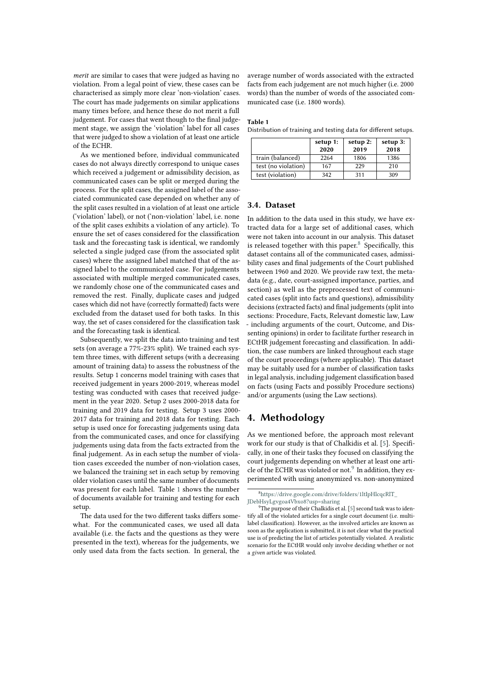*merit* are similar to cases that were judged as having no violation. From a legal point of view, these cases can be characterised as simply more clear 'non-violation' cases. The court has made judgements on similar applications many times before, and hence these do not merit a full judgement. For cases that went though to the final judgement stage, we assign the 'violation' label for all cases that were judged to show a violation of at least one article of the ECHR.

As we mentioned before, individual communicated cases do not always directly correspond to unique cases which received a judgement or admissibility decision, as communicated cases can be split or merged during the process. For the split cases, the assigned label of the associated communicated case depended on whether any of the split cases resulted in a violation of at least one article ('violation' label), or not ('non-violation' label, i.e. none of the split cases exhibits a violation of any article). To ensure the set of cases considered for the classification task and the forecasting task is identical, we randomly selected a single judged case (from the associated split cases) where the assigned label matched that of the assigned label to the communicated case. For judgements associated with multiple merged communicated cases, we randomly chose one of the communicated cases and removed the rest. Finally, duplicate cases and judged cases which did not have (correctly formatted) facts were excluded from the dataset used for both tasks. In this way, the set of cases considered for the classification task and the forecasting task is identical.

Subsequently, we split the data into training and test sets (on average a 77%-23% split). We trained each system three times, with different setups (with a decreasing amount of training data) to assess the robustness of the results. Setup 1 concerns model training with cases that received judgement in years 2000-2019, whereas model testing was conducted with cases that received judgement in the year 2020. Setup 2 uses 2000-2018 data for training and 2019 data for testing. Setup 3 uses 2000- 2017 data for training and 2018 data for testing. Each setup is used once for forecasting judgements using data from the communicated cases, and once for classifying judgements using data from the facts extracted from the final judgement. As in each setup the number of violation cases exceeded the number of non-violation cases, we balanced the training set in each setup by removing older violation cases until the same number of documents was present for each label. Table [1](#page-4-1) shows the number of documents available for training and testing for each setup.

The data used for the two different tasks differs somewhat. For the communicated cases, we used all data available (i.e. the facts and the questions as they were presented in the text), whereas for the judgements, we only used data from the facts section. In general, the

average number of words associated with the extracted facts from each judgement are not much higher (i.e. 2000 words) than the number of words of the associated communicated case (i.e. 1800 words).

#### <span id="page-4-1"></span>**Table 1**

Distribution of training and testing data for different setups.

|                     | setup 1:<br>2020 | setup 2:<br>2019 | setup 3:<br>2018 |
|---------------------|------------------|------------------|------------------|
| train (balanced)    | 2264             | 1806             | 1386             |
| test (no violation) | 167              | 229              | 210              |
| test (violation)    | 342              | 311              | 309              |

### **3.4. Dataset**

In addition to the data used in this study, we have extracted data for a large set of additional cases, which were not taken into account in our analysis. This dataset is released together with this paper. $8$  Specifically, this dataset contains all of the communicated cases, admissibility cases and final judgements of the Court published between 1960 and 2020. We provide raw text, the metadata (e.g., date, court-assigned importance, parties, and section) as well as the preprocessed text of communicated cases (split into facts and questions), admissibility decisions (extracted facts) and final judgements (split into sections: Procedure, Facts, Relevant domestic law, Law - including arguments of the court, Outcome, and Dissenting opinions) in order to facilitate further research in ECtHR judgement forecasting and classification. In addition, the case numbers are linked throughout each stage of the court proceedings (where applicable). This dataset may be suitably used for a number of classification tasks in legal analysis, including judgement classification based on facts (using Facts and possibly Procedure sections) and/or arguments (using the Law sections).

## <span id="page-4-0"></span>**4. Methodology**

As we mentioned before, the approach most relevant work for our study is that of Chalkidis et al. [\[5\]](#page-9-9). Specifically, in one of their tasks they focused on classifying the court judgements depending on whether at least one arti-cle of the ECHR was violated or not.<sup>[9](#page-4-3)</sup> In addition, they experimented with using anonymized vs. non-anonymized

<span id="page-4-2"></span><sup>8</sup>[https://drive.google.com/drive/folders/1ltIpHlcqcRlT\\_](https://drive.google.com/drive/folders/1ltIpHlcqcRlT_JDebHsyLgvgoa4Vbxo8?usp=sharing) [JDebHsyLgvgoa4Vbxo8?usp=sharing](https://drive.google.com/drive/folders/1ltIpHlcqcRlT_JDebHsyLgvgoa4Vbxo8?usp=sharing)

<span id="page-4-3"></span> $9$ The purpose of their Chalkidis et al. [\[5\]](#page-9-9) second task was to identify all of the violated articles for a single court document (i.e. multilabel classification). However, as the involved articles are known as soon as the application is submitted, it is not clear what the practical use is of predicting the list of articles potentially violated. A realistic scenario for the ECtHR would only involve deciding whether or not a *given* article was violated.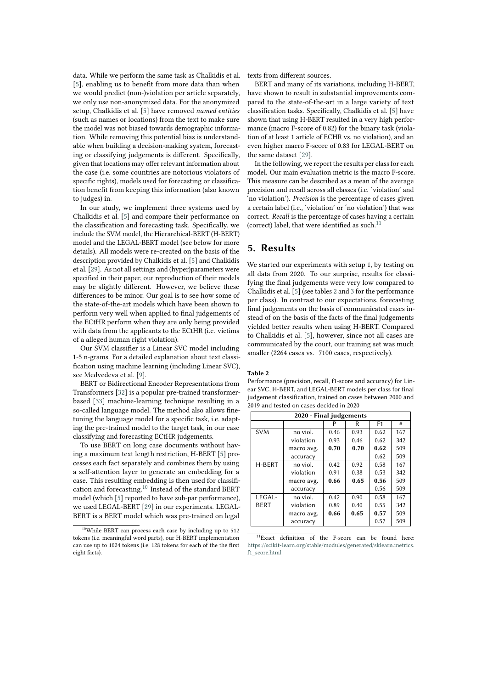data. While we perform the same task as Chalkidis et al. [\[5\]](#page-9-9), enabling us to benefit from more data than when we would predict (non-)violation per article separately, we only use non-anonymized data. For the anonymized setup, Chalkidis et al. [\[5\]](#page-9-9) have removed *named entities* (such as names or locations) from the text to make sure the model was not biased towards demographic information. While removing this potential bias is understandable when building a decision-making system, forecasting or classifying judgements is different. Specifically, given that locations may offer relevant information about the case (i.e. some countries are notorious violators of specific rights), models used for forecasting or classification benefit from keeping this information (also known to judges) in.

In our study, we implement three systems used by Chalkidis et al. [\[5\]](#page-9-9) and compare their performance on the classification and forecasting task. Specifically, we include the SVM model, the Hierarchical-BERT (H-BERT) model and the LEGAL-BERT model (see below for more details). All models were re-created on the basis of the description provided by Chalkidis et al. [\[5\]](#page-9-9) and Chalkidis et al. [\[29\]](#page-10-13). As not all settings and (hyper)parameters were specified in their paper, our reproduction of their models may be slightly different. However, we believe these differences to be minor. Our goal is to see how some of the state-of-the-art models which have been shown to perform very well when applied to final judgements of the ECtHR perform when they are only being provided with data from the applicants to the ECtHR (i.e. victims of a alleged human right violation).

Our SVM classifier is a Linear SVC model including 1-5 n-grams. For a detailed explanation about text classification using machine learning (including Linear SVC), see Medvedeva et al. [\[9\]](#page-9-0).

BERT or Bidirectional Encoder Representations from Transformers [\[32\]](#page-10-16) is a popular pre-trained transformerbased [\[33\]](#page-10-17) machine-learning technique resulting in a so-called language model. The method also allows finetuning the language model for a specific task, i.e. adapting the pre-trained model to the target task, in our case classifying and forecasting ECtHR judgements.

To use BERT on long case documents without having a maximum text length restriction, H-BERT [\[5\]](#page-9-9) processes each fact separately and combines them by using a self-attention layer to generate an embedding for a case. This resulting embedding is then used for classification and forecasting.[10](#page-5-1) Instead of the standard BERT model (which [\[5\]](#page-9-9) reported to have sub-par performance), we used LEGAL-BERT [\[29\]](#page-10-13) in our experiments. LEGAL-BERT is a BERT model which was pre-trained on legal

texts from different sources.

BERT and many of its variations, including H-BERT, have shown to result in substantial improvements compared to the state-of-the-art in a large variety of text classification tasks. Specifically, Chalkidis et al. [\[5\]](#page-9-9) have shown that using H-BERT resulted in a very high performance (macro F-score of 0.82) for the binary task (violation of at least 1 article of ECHR vs. no violation), and an even higher macro F-score of 0.83 for LEGAL-BERT on the same dataset [\[29\]](#page-10-13).

In the following, we report the results per class for each model. Our main evaluation metric is the macro F-score. This measure can be described as a mean of the average precision and recall across all classes (i.e. 'violation' and 'no violation'). *Precision* is the percentage of cases given a certain label (i.e., 'violation' or 'no violation') that was correct. *Recall* is the percentage of cases having a certain (correct) label, that were identified as such. $1$ 

# <span id="page-5-0"></span>**5. Results**

We started our experiments with setup 1, by testing on all data from 2020. To our surprise, results for classifying the final judgements were very low compared to Chalkidis et al. [\[5\]](#page-9-9) (see tables [2](#page-5-3) and [3](#page-6-0) for the performance per class). In contrast to our expectations, forecasting final judgements on the basis of communicated cases instead of on the basis of the facts of the final judgements yielded better results when using H-BERT. Compared to Chalkidis et al. [\[5\]](#page-9-9), however, since not all cases are communicated by the court, our training set was much smaller (2264 cases vs. 7100 cases, respectively).

#### <span id="page-5-3"></span>**Table 2**

Performance (precision, recall, f1-score and accuracy) for Linear SVC, H-BERT, and LEGAL-BERT models per class for final judgement classification, trained on cases between 2000 and 2019 and tested on cases decided in 2020

| 2020 - Final judgements |            |              |      |                |     |  |
|-------------------------|------------|--------------|------|----------------|-----|--|
|                         |            | P            | R    | F <sub>1</sub> | #   |  |
| <b>SVM</b>              | no viol.   | 0.93<br>0.46 |      | 0.62           | 167 |  |
|                         | violation  | 0.93         | 0.46 | 0.62           | 342 |  |
|                         | macro avg. | 0.70         | 0.70 | 0.62           | 509 |  |
|                         | accuracy   |              |      | 0.62           | 509 |  |
| H-BERT                  | no viol.   | 0.42         | 0.92 | 0.58           | 167 |  |
|                         | violation  | 0.91         | 0.38 | 0.53           | 342 |  |
|                         | macro avg. | 0.66         | 0.65 | 0.56           | 509 |  |
|                         | accuracy   |              |      | 0.56           | 509 |  |
| LEGAL-                  | no viol.   | 0.42         | 0.90 | 0.58           | 167 |  |
| <b>BERT</b>             | violation  | 0.89         | 0.40 | 0.55           | 342 |  |
|                         | macro avg. | 0.66         | 0.65 | 0.57           | 509 |  |
|                         | accuracy   |              |      | 0.57           | 509 |  |

<span id="page-5-2"></span><sup>11</sup>Exact definition of the F-score can be found here: [https://scikit-learn.org/stable/modules/generated/sklearn.metrics.](https://scikit-learn.org/stable/modules/generated/sklearn.metrics.f1_score.html) [f1\\_score.html](https://scikit-learn.org/stable/modules/generated/sklearn.metrics.f1_score.html)

<span id="page-5-1"></span><sup>10</sup>While BERT can process each case by including up to 512 tokens (i.e. meaningful word parts), our H-BERT implementation can use up to 1024 tokens (i.e. 128 tokens for each of the the first eight facts).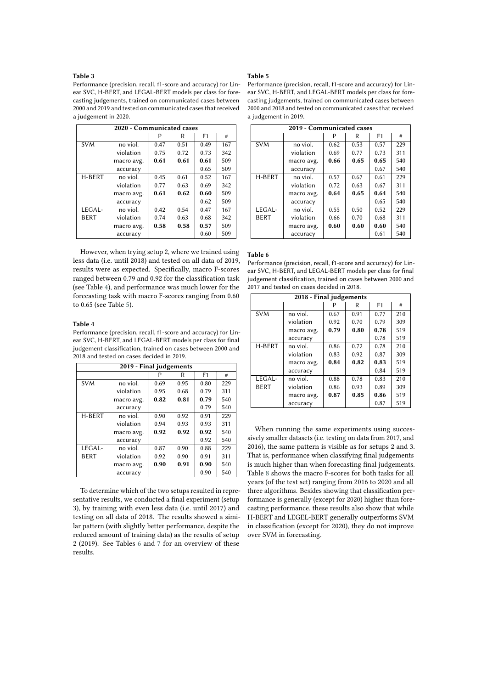### <span id="page-6-0"></span>**Table 3**

Performance (precision, recall, f1-score and accuracy) for Linear SVC, H-BERT, and LEGAL-BERT models per class for forecasting judgements, trained on communicated cases between 2000 and 2019 and tested on communicated cases that received a judgement in 2020.

| 2020 - Communicated cases |            |                      |      |                |     |  |  |
|---------------------------|------------|----------------------|------|----------------|-----|--|--|
|                           |            | P                    | R    | F <sub>1</sub> | #   |  |  |
| <b>SVM</b>                | no viol.   | 0.47                 | 0.51 | 0.49           | 167 |  |  |
|                           | violation  | 0.75<br>0.72<br>0.73 |      | 342            |     |  |  |
|                           | macro avg. | 0.61                 | 0.61 | 0.61           | 509 |  |  |
|                           | accuracy   |                      |      | 0.65           | 509 |  |  |
| H-BERT                    | no viol.   | 0.45                 | 0.61 | 0.52           | 167 |  |  |
|                           | violation  | 0.77                 | 0.63 | 0.69           | 342 |  |  |
|                           | macro avg. | 0.61                 | 0.62 | 0.60           | 509 |  |  |
|                           | accuracy   |                      |      | 0.62           | 509 |  |  |
| LEGAL-                    | no viol.   | 0.42                 | 0.54 | 0.47           | 167 |  |  |
| <b>BERT</b>               | violation  | 0.74                 | 0.63 | 0.68           | 342 |  |  |
|                           | macro avg. | 0.58                 | 0.58 | 0.57           | 509 |  |  |
|                           | accuracy   |                      |      | 0.60           | 509 |  |  |

However, when trying setup 2, where we trained using less data (i.e. until 2018) and tested on all data of 2019, results were as expected. Specifically, macro F-scores ranged between 0.79 and 0.92 for the classification task (see Table [4\)](#page-6-1), and performance was much lower for the forecasting task with macro F-scores ranging from 0.60 to 0.65 (see Table [5\)](#page-6-2).

#### <span id="page-6-1"></span>**Table 4**

Performance (precision, recall, f1-score and accuracy) for Linear SVC, H-BERT, and LEGAL-BERT models per class for final judgement classification, trained on cases between 2000 and 2018 and tested on cases decided in 2019.

| 2019 - Final judgements |            |              |      |      |     |  |  |
|-------------------------|------------|--------------|------|------|-----|--|--|
|                         |            | P            | R    | F1   | #   |  |  |
| <b>SVM</b>              | no viol.   | 0.69         | 0.95 | 0.80 | 229 |  |  |
|                         | violation  | 0.95<br>0.68 |      | 0.79 | 311 |  |  |
|                         | macro avg. | 0.82         | 0.81 | 0.79 | 540 |  |  |
|                         | accuracy   |              |      | 0.79 | 540 |  |  |
| H-BERT                  | no viol.   | 0.90         | 0.92 | 0.91 | 229 |  |  |
|                         | violation  | 0.94         | 0.93 | 0.93 | 311 |  |  |
|                         | macro avg. | 0.92         | 0.92 | 0.92 | 540 |  |  |
|                         | accuracy   |              |      | 0.92 | 540 |  |  |
| LEGAL-                  | no viol.   | 0.87         | 0.90 | 0.88 | 229 |  |  |
| <b>BERT</b>             | violation  | 0.92         | 0.90 | 0.91 | 311 |  |  |
|                         | macro avg. | 0.90         | 0.91 | 0.90 | 540 |  |  |
|                         | accuracy   |              |      | 0.90 | 540 |  |  |

To determine which of the two setups resulted in representative results, we conducted a final experiment (setup 3), by training with even less data (i.e. until 2017) and testing on all data of 2018. The results showed a similar pattern (with slightly better performance, despite the reduced amount of training data) as the results of setup 2 (2019). See Tables [6](#page-6-3) and [7](#page-7-1) for an overview of these results.

### <span id="page-6-2"></span>**Table 5**

Performance (precision, recall, f1-score and accuracy) for Linear SVC, H-BERT, and LEGAL-BERT models per class for forecasting judgements, trained on communicated cases between 2000 and 2018 and tested on communicated cases that received a judgement in 2019.

| 2019 - Communicated cases |            |      |      |                |     |  |
|---------------------------|------------|------|------|----------------|-----|--|
|                           |            | P    | R    | F <sub>1</sub> | #   |  |
| <b>SVM</b>                | no viol.   | 0.62 | 0.53 | 0.57           | 229 |  |
|                           | violation  | 0.69 | 0.77 | 0.73           | 311 |  |
|                           | macro avg. | 0.66 | 0.65 | 0.65           | 540 |  |
|                           | accuracy   |      |      | 0.67           | 540 |  |
| H-BERT                    | no viol.   | 0.57 | 0.67 | 0.61           | 229 |  |
|                           | violation  | 0.72 | 0.63 | 0.67           | 311 |  |
|                           | macro avg. | 0.64 | 0.65 | 0.64           | 540 |  |
|                           | accuracy   |      |      | 0.65           | 540 |  |
| LEGAL-                    | no viol.   | 0.55 | 0.50 | 0.52           | 229 |  |
| <b>BERT</b>               | violation  | 0.66 | 0.70 | 0.68           | 311 |  |
|                           | macro avg. | 0.60 | 0.60 | 0.60           | 540 |  |
|                           | accuracy   |      |      | 0.61           | 540 |  |

#### <span id="page-6-3"></span>**Table 6**

Performance (precision, recall, f1-score and accuracy) for Linear SVC, H-BERT, and LEGAL-BERT models per class for final judgement classification, trained on cases between 2000 and 2017 and tested on cases decided in 2018.

| 2018 - Final judgements |            |      |      |                |     |  |
|-------------------------|------------|------|------|----------------|-----|--|
|                         |            |      | R    | F <sub>1</sub> | #   |  |
| <b>SVM</b>              | no viol.   | 0.67 | 0.91 | 0.77           | 210 |  |
|                         | violation  | 0.92 | 0.70 | 0.79           | 309 |  |
|                         | macro avg. | 0.79 | 0.80 | 0.78           | 519 |  |
|                         | accuracy   |      |      | 0.78           | 519 |  |
| H-BERT                  | no viol.   | 0.86 | 0.72 | 0.78           | 210 |  |
|                         | violation  | 0.83 | 0.92 | 0.87           | 309 |  |
|                         | macro avg. | 0.84 | 0.82 | 0.83           | 519 |  |
|                         | accuracy   |      |      | 0.84           | 519 |  |
| LEGAL-                  | no viol.   | 0.88 | 0.78 | 0.83           | 210 |  |
| <b>BERT</b>             | violation  | 0.86 | 0.93 | 0.89           | 309 |  |
|                         | macro avg. | 0.87 | 0.85 | 0.86           | 519 |  |
|                         | accuracy   |      |      | 0.87           | 519 |  |

When running the same experiments using successively smaller datasets (i.e. testing on data from 2017, and 2016), the same pattern is visible as for setups 2 and 3. That is, performance when classifying final judgements is much higher than when forecasting final judgements. Table [8](#page-8-1) shows the macro F-scores for both tasks for all years (of the test set) ranging from 2016 to 2020 and all three algorithms. Besides showing that classification performance is generally (except for 2020) higher than forecasting performance, these results also show that while H-BERT and LEGEL-BERT generally outperforms SVM in classification (except for 2020), they do not improve over SVM in forecasting.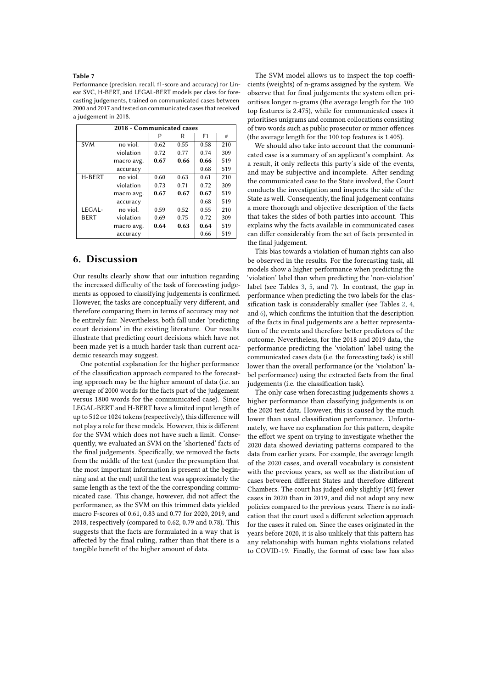### <span id="page-7-1"></span>**Table 7**

Performance (precision, recall, f1-score and accuracy) for Linear SVC, H-BERT, and LEGAL-BERT models per class for forecasting judgements, trained on communicated cases between 2000 and 2017 and tested on communicated cases that received a judgement in 2018.

| 2018 - Communicated cases |            |                      |      |                |     |  |  |
|---------------------------|------------|----------------------|------|----------------|-----|--|--|
|                           |            | P                    | R    | F <sub>1</sub> | #   |  |  |
| <b>SVM</b>                | no viol.   | 0.62                 | 0.55 | 0.58           | 210 |  |  |
|                           | violation  | 0.72<br>0.77<br>0.74 |      |                | 309 |  |  |
|                           | macro avg. | 0.67                 | 0.66 | 0.66           | 519 |  |  |
|                           | accuracy   |                      |      | 0.68           | 519 |  |  |
| H-BERT                    | no viol.   | 0.60                 | 0.63 | 0.61           | 210 |  |  |
|                           | violation  | 0.73                 | 0.71 | 0.72           | 309 |  |  |
|                           | macro avg. | 0.67                 | 0.67 | 0.67           | 519 |  |  |
|                           | accuracy   |                      |      | 0.68           | 519 |  |  |
| LEGAL-                    | no viol.   | 0.59                 | 0.52 | 0.55           | 210 |  |  |
| <b>BERT</b>               | violation  | 0.69                 | 0.75 | 0.72           | 309 |  |  |
|                           | macro avg. | 0.64                 | 0.63 | 0.64           | 519 |  |  |
|                           | accuracy   |                      |      | 0.66           | 519 |  |  |

# <span id="page-7-0"></span>**6. Discussion**

Our results clearly show that our intuition regarding the increased difficulty of the task of forecasting judgements as opposed to classifying judgements is confirmed. However, the tasks are conceptually very different, and therefore comparing them in terms of accuracy may not be entirely fair. Nevertheless, both fall under 'predicting court decisions' in the existing literature. Our results illustrate that predicting court decisions which have not been made yet is a much harder task than current academic research may suggest.

One potential explanation for the higher performance of the classification approach compared to the forecasting approach may be the higher amount of data (i.e. an average of 2000 words for the facts part of the judgement versus 1800 words for the communicated case). Since LEGAL-BERT and H-BERT have a limited input length of up to 512 or 1024 tokens (respectively), this difference will not play a role for these models. However, this is different for the SVM which does not have such a limit. Consequently, we evaluated an SVM on the 'shortened' facts of the final judgements. Specifically, we removed the facts from the middle of the text (under the presumption that the most important information is present at the beginning and at the end) until the text was approximately the same length as the text of the the corresponding communicated case. This change, however, did not affect the performance, as the SVM on this trimmed data yielded macro F-scores of 0.61, 0.83 and 0.77 for 2020, 2019, and 2018, respectively (compared to 0.62, 0.79 and 0.78). This suggests that the facts are formulated in a way that is affected by the final ruling, rather than that there is a tangible benefit of the higher amount of data.

The SVM model allows us to inspect the top coefficients (weights) of n-grams assigned by the system. We observe that for final judgements the system often prioritises longer n-grams (the average length for the 100 top features is 2.475), while for communicated cases it prioritises unigrams and common collocations consisting of two words such as public prosecutor or minor offences (the average length for the 100 top features is 1.405).

We should also take into account that the communicated case is a summary of an applicant's complaint. As a result, it only reflects this party's side of the events, and may be subjective and incomplete. After sending the communicated case to the State involved, the Court conducts the investigation and inspects the side of the State as well. Consequently, the final judgement contains a more thorough and objective description of the facts that takes the sides of both parties into account. This explains why the facts available in communicated cases can differ considerably from the set of facts presented in the final judgement.

This bias towards a violation of human rights can also be observed in the results. For the forecasting task, all models show a higher performance when predicting the 'violation' label than when predicting the 'non-violation' label (see Tables [3,](#page-6-0) [5,](#page-6-2) and [7\)](#page-7-1). In contrast, the gap in performance when predicting the two labels for the classification task is considerably smaller (see Tables [2,](#page-5-3) [4,](#page-6-1) and [6\)](#page-6-3), which confirms the intuition that the description of the facts in final judgements are a better representation of the events and therefore better predictors of the outcome. Nevertheless, for the 2018 and 2019 data, the performance predicting the 'violation' label using the communicated cases data (i.e. the forecasting task) is still lower than the overall performance (or the 'violation' label performance) using the extracted facts from the final judgements (i.e. the classification task).

The only case when forecasting judgements shows a higher performance than classifying judgements is on the 2020 test data. However, this is caused by the much lower than usual classification performance. Unfortunately, we have no explanation for this pattern, despite the effort we spent on trying to investigate whether the 2020 data showed deviating patterns compared to the data from earlier years. For example, the average length of the 2020 cases, and overall vocabulary is consistent with the previous years, as well as the distribution of cases between different States and therefore different Chambers. The court has judged only slightly (4%) fewer cases in 2020 than in 2019, and did not adopt any new policies compared to the previous years. There is no indication that the court used a different selection approach for the cases it ruled on. Since the cases originated in the years before 2020, it is also unlikely that this pattern has any relationship with human rights violations related to COVID-19. Finally, the format of case law has also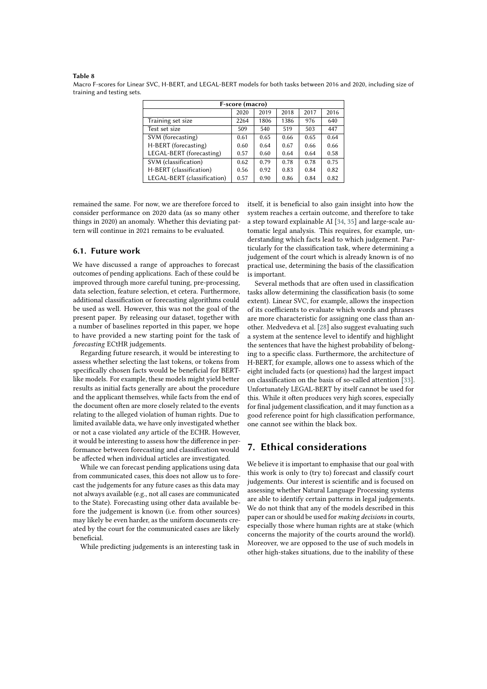#### <span id="page-8-1"></span>**Table 8**

Macro F-scores for Linear SVC, H-BERT, and LEGAL-BERT models for both tasks between 2016 and 2020, including size of training and testing sets.

| F-score (macro)             |      |      |      |      |      |  |  |
|-----------------------------|------|------|------|------|------|--|--|
|                             | 2020 | 2019 | 2018 | 2017 | 2016 |  |  |
| Training set size           | 2264 | 1806 | 1386 | 976  | 640  |  |  |
| Test set size               | 509  | 540  | 519  | 503  | 447  |  |  |
| SVM (forecasting)           | 0.61 | 0.65 | 0.66 | 0.65 | 0.64 |  |  |
| H-BERT (forecasting)        | 0.60 | 0.64 | 0.67 | 0.66 | 0.66 |  |  |
| LEGAL-BERT (forecasting)    | 0.57 | 0.60 | 0.64 | 0.64 | 0.58 |  |  |
| SVM (classification)        | 0.62 | 0.79 | 0.78 | 0.78 | 0.75 |  |  |
| H-BERT (classification)     | 0.56 | 0.92 | 0.83 | 0.84 | 0.82 |  |  |
| LEGAL-BERT (classification) | 0.57 | 0.90 | 0.86 | 0.84 | 0.82 |  |  |

remained the same. For now, we are therefore forced to consider performance on 2020 data (as so many other things in 2020) an anomaly. Whether this deviating pattern will continue in 2021 remains to be evaluated.

### **6.1. Future work**

We have discussed a range of approaches to forecast outcomes of pending applications. Each of these could be improved through more careful tuning, pre-processing, data selection, feature selection, et cetera. Furthermore, additional classification or forecasting algorithms could be used as well. However, this was not the goal of the present paper. By releasing our dataset, together with a number of baselines reported in this paper, we hope to have provided a new starting point for the task of *forecasting* ECtHR judgements.

Regarding future research, it would be interesting to assess whether selecting the last tokens, or tokens from specifically chosen facts would be beneficial for BERTlike models. For example, these models might yield better results as initial facts generally are about the procedure and the applicant themselves, while facts from the end of the document often are more closely related to the events relating to the alleged violation of human rights. Due to limited available data, we have only investigated whether or not a case violated *any* article of the ECHR. However, it would be interesting to assess how the difference in performance between forecasting and classification would be affected when individual articles are investigated.

While we can forecast pending applications using data from communicated cases, this does not allow us to forecast the judgements for any future cases as this data may not always available (e.g., not all cases are communicated to the State). Forecasting using other data available before the judgement is known (i.e. from other sources) may likely be even harder, as the uniform documents created by the court for the communicated cases are likely beneficial.

While predicting judgements is an interesting task in

itself, it is beneficial to also gain insight into how the system reaches a certain outcome, and therefore to take a step toward explainable AI [\[34,](#page-11-0) [35\]](#page-11-1) and large-scale automatic legal analysis. This requires, for example, understanding which facts lead to which judgement. Particularly for the classification task, where determining a judgement of the court which is already known is of no practical use, determining the basis of the classification is important.

Several methods that are often used in classification tasks allow determining the classification basis (to some extent). Linear SVC, for example, allows the inspection of its coefficients to evaluate which words and phrases are more characteristic for assigning one class than another. Medvedeva et al. [\[28\]](#page-10-12) also suggest evaluating such a system at the sentence level to identify and highlight the sentences that have the highest probability of belonging to a specific class. Furthermore, the architecture of H-BERT, for example, allows one to assess which of the eight included facts (or questions) had the largest impact on classification on the basis of so-called attention [\[33\]](#page-10-17). Unfortunately LEGAL-BERT by itself cannot be used for this. While it often produces very high scores, especially for final judgement classification, and it may function as a good reference point for high classification performance, one cannot see within the black box.

# <span id="page-8-0"></span>**7. Ethical considerations**

We believe it is important to emphasise that our goal with this work is only to (try to) forecast and classify court judgements. Our interest is scientific and is focused on assessing whether Natural Language Processing systems are able to identify certain patterns in legal judgements. We do not think that any of the models described in this paper can or should be used for *making decisions* in courts, especially those where human rights are at stake (which concerns the majority of the courts around the world). Moreover, we are opposed to the use of such models in other high-stakes situations, due to the inability of these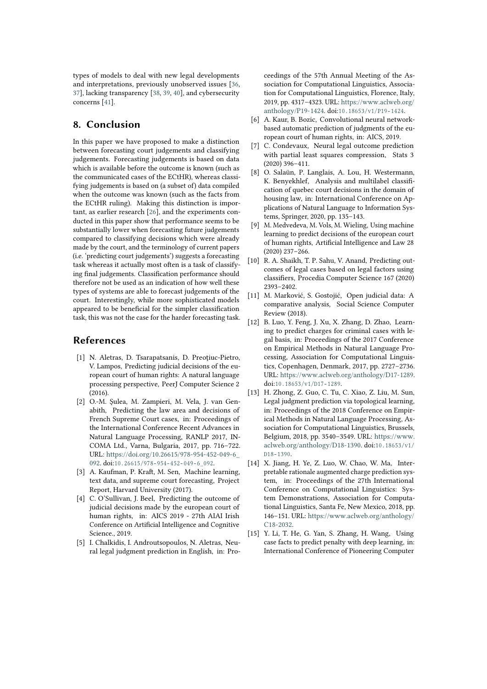types of models to deal with new legal developments and interpretations, previously unobserved issues [\[36,](#page-11-2) [37\]](#page-11-3), lacking transparency [\[38,](#page-11-4) [39,](#page-11-5) [40\]](#page-11-6), and cybersecurity concerns [\[41\]](#page-11-7).

# <span id="page-9-2"></span>**8. Conclusion**

In this paper we have proposed to make a distinction between forecasting court judgements and classifying judgements. Forecasting judgements is based on data which is available before the outcome is known (such as the communicated cases of the ECtHR), whereas classifying judgements is based on (a subset of) data compiled when the outcome was known (such as the facts from the ECtHR ruling). Making this distinction is important, as earlier research [\[26\]](#page-10-10), and the experiments conducted in this paper show that performance seems to be substantially lower when forecasting future judgements compared to classifying decisions which were already made by the court, and the terminology of current papers (i.e. 'predicting court judgements') suggests a forecasting task whereas it actually most often is a task of classifying final judgements. Classification performance should therefore not be used as an indication of how well these types of systems are able to forecast judgements of the court. Interestingly, while more sophisticated models appeared to be beneficial for the simpler classification task, this was not the case for the harder forecasting task.

# **References**

- <span id="page-9-14"></span>[1] N. Aletras, D. Tsarapatsanis, D. Preoţiuc-Pietro, V. Lampos, Predicting judicial decisions of the european court of human rights: A natural language processing perspective, PeerJ Computer Science 2 (2016).
- <span id="page-9-8"></span>[2] O.-M. Şulea, M. Zampieri, M. Vela, J. van Genabith, Predicting the law area and decisions of French Supreme Court cases, in: Proceedings of the International Conference Recent Advances in Natural Language Processing, RANLP 2017, IN-COMA Ltd., Varna, Bulgaria, 2017, pp. 716–722. URL: [https://doi.org/10.26615/978-954-452-049-6\\_](https://doi.org/10.26615/978-954-452-049-6_092) [092.](https://doi.org/10.26615/978-954-452-049-6_092) doi:10.26615/978-954-452-049-6 092.
- <span id="page-9-7"></span>[3] A. Kaufman, P. Kraft, M. Sen, Machine learning, text data, and supreme court forecasting, Project Report, Harvard University (2017).
- [4] C. O'Sullivan, J. Beel, Predicting the outcome of judicial decisions made by the european court of human rights, in: AICS 2019 - 27th AIAI Irish Conference on Artificial Intelligence and Cognitive Science., 2019.
- <span id="page-9-9"></span>[5] I. Chalkidis, I. Androutsopoulos, N. Aletras, Neural legal judgment prediction in English, in: Pro-

ceedings of the 57th Annual Meeting of the Association for Computational Linguistics, Association for Computational Linguistics, Florence, Italy, 2019, pp. 4317–4323. URL: [https://www.aclweb.org/](https://www.aclweb.org/anthology/P19-1424) [anthology/P19-1424.](https://www.aclweb.org/anthology/P19-1424) doi:10.18653/v1/P19-1424.

- <span id="page-9-10"></span>[6] A. Kaur, B. Bozic, Convolutional neural networkbased automatic prediction of judgments of the european court of human rights, in: AICS, 2019.
- <span id="page-9-11"></span>[7] C. Condevaux, Neural legal outcome prediction with partial least squares compression, Stats 3 (2020) 396–411.
- <span id="page-9-12"></span>[8] O. Salaün, P. Langlais, A. Lou, H. Westermann, K. Benyekhlef, Analysis and multilabel classification of quebec court decisions in the domain of housing law, in: International Conference on Applications of Natural Language to Information Systems, Springer, 2020, pp. 135–143.
- <span id="page-9-0"></span>[9] M. Medvedeva, M. Vols, M. Wieling, Using machine learning to predict decisions of the european court of human rights, Artificial Intelligence and Law 28 (2020) 237–266.
- <span id="page-9-13"></span>[10] R. A. Shaikh, T. P. Sahu, V. Anand, Predicting outcomes of legal cases based on legal factors using classifiers, Procedia Computer Science 167 (2020) 2393–2402.
- <span id="page-9-1"></span>[11] M. Marković, S. Gostojić, Open judicial data: A comparative analysis, Social Science Computer Review (2018).
- <span id="page-9-3"></span>[12] B. Luo, Y. Feng, J. Xu, X. Zhang, D. Zhao, Learning to predict charges for criminal cases with legal basis, in: Proceedings of the 2017 Conference on Empirical Methods in Natural Language Processing, Association for Computational Linguistics, Copenhagen, Denmark, 2017, pp. 2727–2736. URL: [https://www.aclweb.org/anthology/D17-1289.](https://www.aclweb.org/anthology/D17-1289) doi:10.18653/v1/D17-1289.
- <span id="page-9-4"></span>[13] H. Zhong, Z. Guo, C. Tu, C. Xiao, Z. Liu, M. Sun, Legal judgment prediction via topological learning, in: Proceedings of the 2018 Conference on Empirical Methods in Natural Language Processing, Association for Computational Linguistics, Brussels, Belgium, 2018, pp. 3540–3549. URL: [https://www.](https://www.aclweb.org/anthology/D18-1390) [aclweb.org/anthology/D18-1390.](https://www.aclweb.org/anthology/D18-1390) doi:10.18653/v1/ D<sub>18</sub>-1390.
- <span id="page-9-5"></span>[14] X. Jiang, H. Ye, Z. Luo, W. Chao, W. Ma, Interpretable rationale augmented charge prediction system, in: Proceedings of the 27th International Conference on Computational Linguistics: System Demonstrations, Association for Computational Linguistics, Santa Fe, New Mexico, 2018, pp. 146–151. URL: [https://www.aclweb.org/anthology/](https://www.aclweb.org/anthology/C18-2032) [C18-2032.](https://www.aclweb.org/anthology/C18-2032)
- <span id="page-9-6"></span>[15] Y. Li, T. He, G. Yan, S. Zhang, H. Wang, Using case facts to predict penalty with deep learning, in: International Conference of Pioneering Computer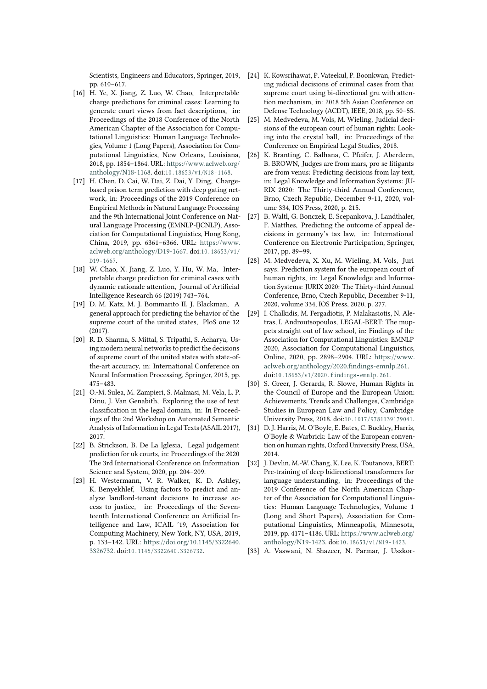Scientists, Engineers and Educators, Springer, 2019, pp. 610–617.

- <span id="page-10-0"></span>[16] H. Ye, X. Jiang, Z. Luo, W. Chao, Interpretable charge predictions for criminal cases: Learning to generate court views from fact descriptions, in: Proceedings of the 2018 Conference of the North American Chapter of the Association for Computational Linguistics: Human Language Technologies, Volume 1 (Long Papers), Association for Computational Linguistics, New Orleans, Louisiana, 2018, pp. 1854–1864. URL: [https://www.aclweb.org/](https://www.aclweb.org/anthology/N18-1168) [anthology/N18-1168.](https://www.aclweb.org/anthology/N18-1168) doi:10.18653/v1/N18-1168.
- <span id="page-10-1"></span>[17] H. Chen, D. Cai, W. Dai, Z. Dai, Y. Ding, Chargebased prison term prediction with deep gating network, in: Proceedings of the 2019 Conference on Empirical Methods in Natural Language Processing and the 9th International Joint Conference on Natural Language Processing (EMNLP-IJCNLP), Association for Computational Linguistics, Hong Kong, China, 2019, pp. 6361–6366. URL: [https://www.](https://www.aclweb.org/anthology/D19-1667) [aclweb.org/anthology/D19-1667.](https://www.aclweb.org/anthology/D19-1667) doi:10.18653/v1/  $D19 - 1667$ .
- <span id="page-10-2"></span>[18] W. Chao, X. Jiang, Z. Luo, Y. Hu, W. Ma, Interpretable charge prediction for criminal cases with dynamic rationale attention, Journal of Artificial Intelligence Research 66 (2019) 743–764.
- <span id="page-10-3"></span>[19] D. M. Katz, M. J. Bommarito II, J. Blackman, A general approach for predicting the behavior of the supreme court of the united states, PloS one 12 (2017).
- <span id="page-10-4"></span>[20] R. D. Sharma, S. Mittal, S. Tripathi, S. Acharya, Using modern neural networks to predict the decisions of supreme court of the united states with state-ofthe-art accuracy, in: International Conference on Neural Information Processing, Springer, 2015, pp. 475–483.
- <span id="page-10-5"></span>[21] O.-M. Sulea, M. Zampieri, S. Malmasi, M. Vela, L. P. Dinu, J. Van Genabith, Exploring the use of text classification in the legal domain, in: In Proceedings of the 2nd Workshop on Automated Semantic Analysis of Information in Legal Texts (ASAIL 2017), 2017.
- <span id="page-10-6"></span>[22] B. Strickson, B. De La Iglesia, Legal judgement prediction for uk courts, in: Proceedings of the 2020 The 3rd International Conference on Information Science and System, 2020, pp. 204–209.
- <span id="page-10-7"></span>[23] H. Westermann, V. R. Walker, K. D. Ashley, K. Benyekhlef, Using factors to predict and analyze landlord-tenant decisions to increase access to justice, in: Proceedings of the Seventeenth International Conference on Artificial Intelligence and Law, ICAIL '19, Association for Computing Machinery, New York, NY, USA, 2019, p. 133–142. URL: [https://doi.org/10.1145/3322640.](https://doi.org/10.1145/3322640.3326732) [3326732.](https://doi.org/10.1145/3322640.3326732) doi:10.1145/3322640.3326732.
- <span id="page-10-8"></span>[24] K. Kowsrihawat, P. Vateekul, P. Boonkwan, Predicting judicial decisions of criminal cases from thai supreme court using bi-directional gru with attention mechanism, in: 2018 5th Asian Conference on Defense Technology (ACDT), IEEE, 2018, pp. 50–55.
- <span id="page-10-9"></span>[25] M. Medvedeva, M. Vols, M. Wieling, Judicial decisions of the european court of human rights: Looking into the crystal ball, in: Proceedings of the Conference on Empirical Legal Studies, 2018.
- <span id="page-10-10"></span>[26] K. Branting, C. Balhana, C. Pfeifer, J. Aberdeen, B. BROWN, Judges are from mars, pro se litigants are from venus: Predicting decisions from lay text, in: Legal Knowledge and Information Systems: JU-RIX 2020: The Thirty-third Annual Conference, Brno, Czech Republic, December 9-11, 2020, volume 334, IOS Press, 2020, p. 215.
- <span id="page-10-11"></span>[27] B. Waltl, G. Bonczek, E. Scepankova, J. Landthaler, F. Matthes, Predicting the outcome of appeal decisions in germany's tax law, in: International Conference on Electronic Participation, Springer, 2017, pp. 89–99.
- <span id="page-10-12"></span>[28] M. Medvedeva, X. Xu, M. Wieling, M. Vols, Juri says: Prediction system for the european court of human rights, in: Legal Knowledge and Information Systems: JURIX 2020: The Thirty-third Annual Conference, Brno, Czech Republic, December 9-11, 2020, volume 334, IOS Press, 2020, p. 277.
- <span id="page-10-13"></span>[29] I. Chalkidis, M. Fergadiotis, P. Malakasiotis, N. Aletras, I. Androutsopoulos, LEGAL-BERT: The muppets straight out of law school, in: Findings of the Association for Computational Linguistics: EMNLP 2020, Association for Computational Linguistics, Online, 2020, pp. 2898–2904. URL: [https://www.](https://www.aclweb.org/anthology/2020.findings-emnlp.261) [aclweb.org/anthology/2020.findings-emnlp.261.](https://www.aclweb.org/anthology/2020.findings-emnlp.261) doi:10.18653/v1/2020.findings-emnlp.261.
- <span id="page-10-14"></span>[30] S. Greer, J. Gerards, R. Slowe, Human Rights in the Council of Europe and the European Union: Achievements, Trends and Challenges, Cambridge Studies in European Law and Policy, Cambridge University Press, 2018. doi:10.1017/9781139179041.
- <span id="page-10-15"></span>[31] D. J. Harris, M. O'Boyle, E. Bates, C. Buckley, Harris, O'Boyle & Warbrick: Law of the European convention on human rights, Oxford University Press, USA, 2014.
- <span id="page-10-16"></span>[32] J. Devlin, M.-W. Chang, K. Lee, K. Toutanova, BERT: Pre-training of deep bidirectional transformers for language understanding, in: Proceedings of the 2019 Conference of the North American Chapter of the Association for Computational Linguistics: Human Language Technologies, Volume 1 (Long and Short Papers), Association for Computational Linguistics, Minneapolis, Minnesota, 2019, pp. 4171–4186. URL: [https://www.aclweb.org/](https://www.aclweb.org/anthology/N19-1423) [anthology/N19-1423.](https://www.aclweb.org/anthology/N19-1423) doi:10.18653/v1/N19-1423.
- <span id="page-10-17"></span>[33] A. Vaswani, N. Shazeer, N. Parmar, J. Uszkor-